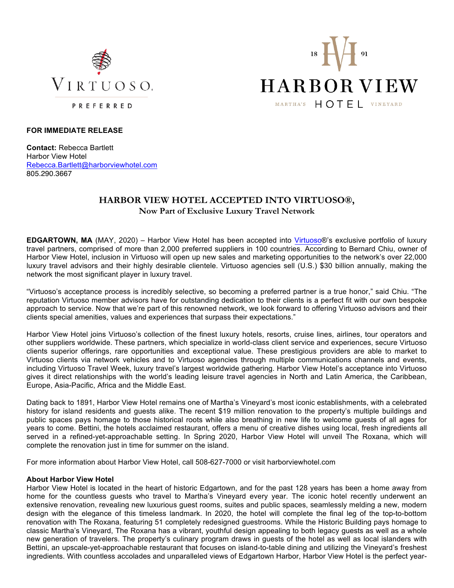



## **FOR IMMEDIATE RELEASE**

**Contact:** Rebecca Bartlett Harbor View Hotel Rebecca.Bartlett@harborviewhotel.com 805.290.3667

# **HARBOR VIEW HOTEL ACCEPTED INTO VIRTUOSO®, Now Part of Exclusive Luxury Travel Network**

**EDGARTOWN, MA** (MAY, 2020) – Harbor View Hotel has been accepted into Virtuoso®'s exclusive portfolio of luxury travel partners, comprised of more than 2,000 preferred suppliers in 100 countries. According to Bernard Chiu, owner of Harbor View Hotel, inclusion in Virtuoso will open up new sales and marketing opportunities to the network's over 22,000 luxury travel advisors and their highly desirable clientele. Virtuoso agencies sell (U.S.) \$30 billion annually, making the network the most significant player in luxury travel.

"Virtuoso's acceptance process is incredibly selective, so becoming a preferred partner is a true honor," said Chiu. "The reputation Virtuoso member advisors have for outstanding dedication to their clients is a perfect fit with our own bespoke approach to service. Now that we're part of this renowned network, we look forward to offering Virtuoso advisors and their clients special amenities, values and experiences that surpass their expectations."

Harbor View Hotel joins Virtuoso's collection of the finest luxury hotels, resorts, cruise lines, airlines, tour operators and other suppliers worldwide. These partners, which specialize in world-class client service and experiences, secure Virtuoso clients superior offerings, rare opportunities and exceptional value. These prestigious providers are able to market to Virtuoso clients via network vehicles and to Virtuoso agencies through multiple communications channels and events, including Virtuoso Travel Week, luxury travel's largest worldwide gathering. Harbor View Hotel's acceptance into Virtuoso gives it direct relationships with the world's leading leisure travel agencies in North and Latin America, the Caribbean, Europe, Asia-Pacific, Africa and the Middle East.

Dating back to 1891, Harbor View Hotel remains one of Martha's Vineyard's most iconic establishments, with a celebrated history for island residents and guests alike. The recent \$19 million renovation to the property's multiple buildings and public spaces pays homage to those historical roots while also breathing in new life to welcome guests of all ages for years to come. Bettini, the hotels acclaimed restaurant, offers a menu of creative dishes using local, fresh ingredients all served in a refined-yet-approachable setting. In Spring 2020, Harbor View Hotel will unveil The Roxana, which will complete the renovation just in time for summer on the island.

For more information about Harbor View Hotel, call 508-627-7000 or visit harborviewhotel.com

### **About Harbor View Hotel**

Harbor View Hotel is located in the heart of historic Edgartown, and for the past 128 years has been a home away from home for the countless guests who travel to Martha's Vineyard every year. The iconic hotel recently underwent an extensive renovation, revealing new luxurious guest rooms, suites and public spaces, seamlessly melding a new, modern design with the elegance of this timeless landmark. In 2020, the hotel will complete the final leg of the top-to-bottom renovation with The Roxana, featuring 51 completely redesigned guestrooms. While the Historic Building pays homage to classic Martha's Vineyard, The Roxana has a vibrant, youthful design appealing to both legacy guests as well as a whole new generation of travelers. The property's culinary program draws in guests of the hotel as well as local islanders with Bettini, an upscale-yet-approachable restaurant that focuses on island-to-table dining and utilizing the Vineyard's freshest ingredients. With countless accolades and unparalleled views of Edgartown Harbor, Harbor View Hotel is the perfect year-